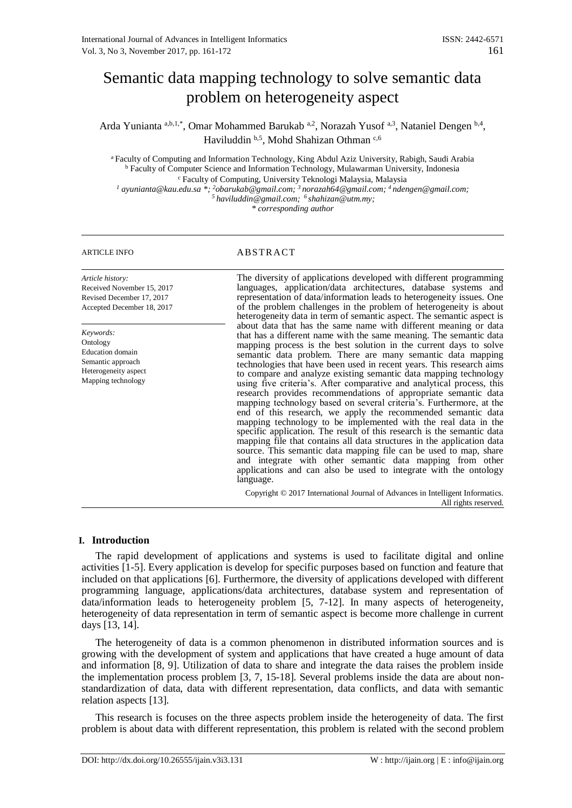# Semantic data mapping technology to solve semantic data problem on heterogeneity aspect

Arda Yunianta a,b,1,\*, Omar Mohammed Barukab a,2, Norazah Yusof a,3, Nataniel Dengen b,4, Haviluddin b,5, Mohd Shahizan Othman c,6

<sup>a</sup>Faculty of Computing and Information Technology, King Abdul Aziz University, Rabigh, Saudi Arabia <sup>b</sup> Faculty of Computer Science and Information Technology, Mulawarman University, Indonesia <sup>c</sup> Faculty of Computing, University Teknologi Malaysia, Malaysia *<sup>1</sup> ayunianta@kau.edu.sa \*; <sup>2</sup>obarukab@gmail.com; <sup>3</sup> norazah64@gmail.com; <sup>4</sup> ndengen@gmail.com; <sup>5</sup> haviluddin@gmail.com; <sup>6</sup> shahizan@utm.my;*

*\* corresponding author*

# ARTICLE INFO ABSTRACT

*Article history:* Received November 15, 2017 Revised December 17, 2017 Accepted December 18, 2017

*Keywords:* Ontology Education domain Semantic approach Heterogeneity aspect Mapping technology

The diversity of applications developed with different programming languages, application/data architectures, database systems and representation of data/information leads to heterogeneity issues. One of the problem challenges in the problem of heterogeneity is about heterogeneity data in term of semantic aspect. The semantic aspect is about data that has the same name with different meaning or data that has a different name with the same meaning. The semantic data mapping process is the best solution in the current days to solve semantic data problem. There are many semantic data mapping technologies that have been used in recent years. This research aims to compare and analyze existing semantic data mapping technology using five criteria's. After comparative and analytical process, this research provides recommendations of appropriate semantic data mapping technology based on several criteria's. Furthermore, at the end of this research, we apply the recommended semantic data mapping technology to be implemented with the real data in the specific application. The result of this research is the semantic data mapping file that contains all data structures in the application data source. This semantic data mapping file can be used to map, share and integrate with other semantic data mapping from other applications and can also be used to integrate with the ontology language.

Copyright © 2017 International Journal of Advances in Intelligent Informatics. All rights reserved.

# **I. Introduction**

The rapid development of applications and systems is used to facilitate digital and online activities [\[1-5\]](#page-8-0). Every application is develop for specific purposes based on function and feature that included on that applications [\[6\]](#page-8-1). Furthermore, the diversity of applications developed with different programming language, applications/data architectures, database system and representation of data/information leads to heterogeneity problem [\[5,](#page-8-2) [7-12\]](#page-8-3). In many aspects of heterogeneity, heterogeneity of data representation in term of semantic aspect is become more challenge in current days [\[13,](#page-9-0) [14\]](#page-9-1).

The heterogeneity of data is a common phenomenon in distributed information sources and is growing with the development of system and applications that have created a huge amount of data and information [\[8,](#page-8-4) [9\]](#page-8-5). Utilization of data to share and integrate the data raises the problem inside the implementation process problem [\[3,](#page-8-6) [7,](#page-8-3) [15-18\]](#page-9-2). Several problems inside the data are about nonstandardization of data, data with different representation, data conflicts, and data with semantic relation aspects [\[13\]](#page-9-0).

This research is focuses on the three aspects problem inside the heterogeneity of data. The first problem is about data with different representation, this problem is related with the second problem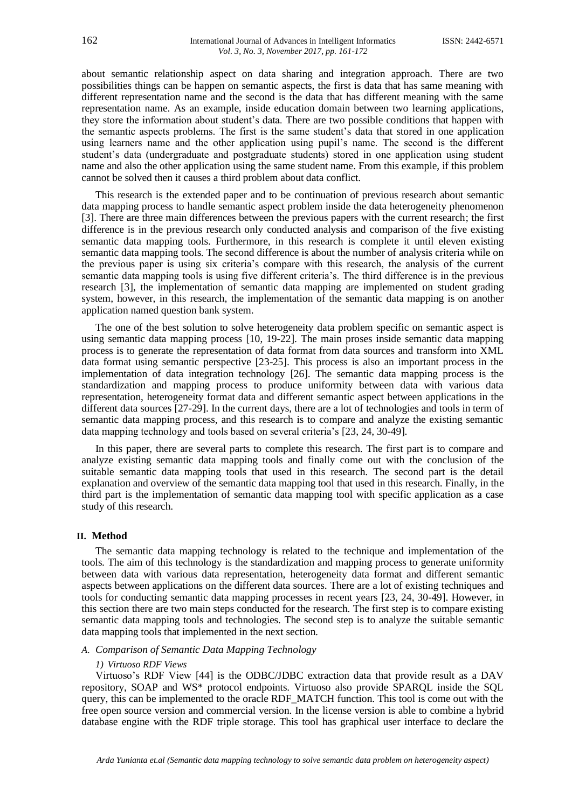about semantic relationship aspect on data sharing and integration approach. There are two possibilities things can be happen on semantic aspects, the first is data that has same meaning with different representation name and the second is the data that has different meaning with the same representation name. As an example, inside education domain between two learning applications, they store the information about student's data. There are two possible conditions that happen with the semantic aspects problems. The first is the same student's data that stored in one application using learners name and the other application using pupil's name. The second is the different student's data (undergraduate and postgraduate students) stored in one application using student name and also the other application using the same student name. From this example, if this problem cannot be solved then it causes a third problem about data conflict.

This research is the extended paper and to be continuation of previous research about semantic data mapping process to handle semantic aspect problem inside the data heterogeneity phenomenon [\[3\]](#page-8-6). There are three main differences between the previous papers with the current research; the first difference is in the previous research only conducted analysis and comparison of the five existing semantic data mapping tools. Furthermore, in this research is complete it until eleven existing semantic data mapping tools. The second difference is about the number of analysis criteria while on the previous paper is using six criteria's compare with this research, the analysis of the current semantic data mapping tools is using five different criteria's. The third difference is in the previous research [\[3\]](#page-8-6), the implementation of semantic data mapping are implemented on student grading system, however, in this research, the implementation of the semantic data mapping is on another application named question bank system.

The one of the best solution to solve heterogeneity data problem specific on semantic aspect is using semantic data mapping process [\[10,](#page-8-7) [19-22\]](#page-9-3). The main proses inside semantic data mapping process is to generate the representation of data format from data sources and transform into XML data format using semantic perspective [\[23-25\]](#page-9-4). This process is also an important process in the implementation of data integration technology [\[26\]](#page-9-5). The semantic data mapping process is the standardization and mapping process to produce uniformity between data with various data representation, heterogeneity format data and different semantic aspect between applications in the different data sources [\[27-29\]](#page-9-6). In the current days, there are a lot of technologies and tools in term of semantic data mapping process, and this research is to compare and analyze the existing semantic data mapping technology and tools based on several criteria's [\[23,](#page-9-4) [24,](#page-9-7) [30-49\]](#page-10-0).

In this paper, there are several parts to complete this research. The first part is to compare and analyze existing semantic data mapping tools and finally come out with the conclusion of the suitable semantic data mapping tools that used in this research. The second part is the detail explanation and overview of the semantic data mapping tool that used in this research. Finally, in the third part is the implementation of semantic data mapping tool with specific application as a case study of this research.

#### **II. Method**

The semantic data mapping technology is related to the technique and implementation of the tools. The aim of this technology is the standardization and mapping process to generate uniformity between data with various data representation, heterogeneity data format and different semantic aspects between applications on the different data sources. There are a lot of existing techniques and tools for conducting semantic data mapping processes in recent years [\[23,](#page-9-4) [24,](#page-9-7) [30-49\]](#page-10-0). However, in this section there are two main steps conducted for the research. The first step is to compare existing semantic data mapping tools and technologies. The second step is to analyze the suitable semantic data mapping tools that implemented in the next section.

# *A. Comparison of Semantic Data Mapping Technology*

#### *1) Virtuoso RDF Views*

Virtuoso's RDF View [\[44\]](#page-10-1) is the ODBC/JDBC extraction data that provide result as a DAV repository, SOAP and WS\* protocol endpoints. Virtuoso also provide SPARQL inside the SQL query, this can be implemented to the oracle RDF\_MATCH function. This tool is come out with the free open source version and commercial version. In the license version is able to combine a hybrid database engine with the RDF triple storage. This tool has graphical user interface to declare the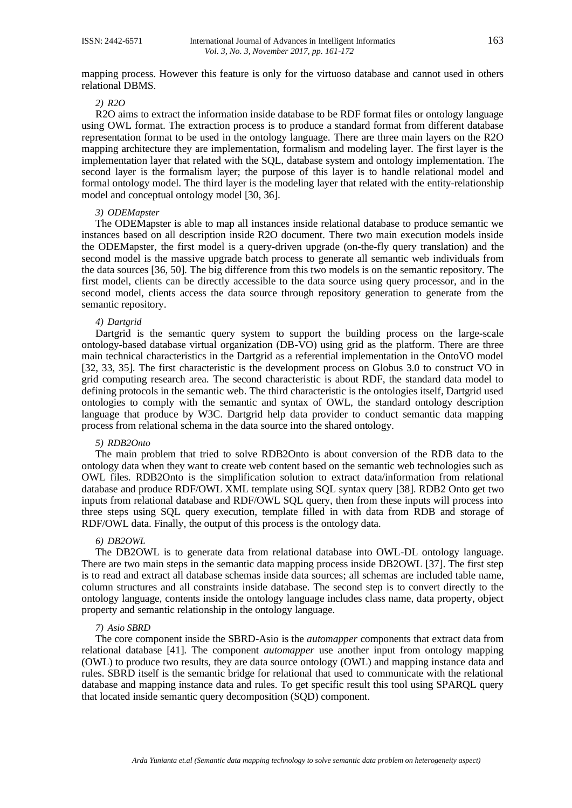mapping process. However this feature is only for the virtuoso database and cannot used in others relational DBMS.

# *2) R2O*

R2O aims to extract the information inside database to be RDF format files or ontology language using OWL format. The extraction process is to produce a standard format from different database representation format to be used in the ontology language. There are three main layers on the R2O mapping architecture they are implementation, formalism and modeling layer. The first layer is the implementation layer that related with the SQL, database system and ontology implementation. The second layer is the formalism layer; the purpose of this layer is to handle relational model and formal ontology model. The third layer is the modeling layer that related with the entity-relationship model and conceptual ontology model [\[30,](#page-10-0) [36\]](#page-10-2).

#### *3) ODEMapster*

The ODEMapster is able to map all instances inside relational database to produce semantic we instances based on all description inside R2O document. There two main execution models inside the ODEMapster, the first model is a query-driven upgrade (on-the-fly query translation) and the second model is the massive upgrade batch process to generate all semantic web individuals from the data sources [\[36,](#page-10-2) [50\]](#page-10-3). The big difference from this two models is on the semantic repository. The first model, clients can be directly accessible to the data source using query processor, and in the second model, clients access the data source through repository generation to generate from the semantic repository.

#### *4) Dartgrid*

Dartgrid is the semantic query system to support the building process on the large-scale ontology-based database virtual organization (DB-VO) using grid as the platform. There are three main technical characteristics in the Dartgrid as a referential implementation in the OntoVO model [\[32,](#page-10-4) [33,](#page-10-5) [35\]](#page-10-6). The first characteristic is the development process on Globus 3.0 to construct VO in grid computing research area. The second characteristic is about RDF, the standard data model to defining protocols in the semantic web. The third characteristic is the ontologies itself, Dartgrid used ontologies to comply with the semantic and syntax of OWL, the standard ontology description language that produce by W3C. Dartgrid help data provider to conduct semantic data mapping process from relational schema in the data source into the shared ontology.

#### *5) RDB2Onto*

The main problem that tried to solve RDB2Onto is about conversion of the RDB data to the ontology data when they want to create web content based on the semantic web technologies such as OWL files. RDB2Onto is the simplification solution to extract data/information from relational database and produce RDF/OWL XML template using SQL syntax query [\[38\]](#page-10-7). RDB2 Onto get two inputs from relational database and RDF/OWL SQL query, then from these inputs will process into three steps using SQL query execution, template filled in with data from RDB and storage of RDF/OWL data. Finally, the output of this process is the ontology data.

#### *6) DB2OWL*

The DB2OWL is to generate data from relational database into OWL-DL ontology language. There are two main steps in the semantic data mapping process inside DB2OWL [\[37\]](#page-10-8). The first step is to read and extract all database schemas inside data sources; all schemas are included table name, column structures and all constraints inside database. The second step is to convert directly to the ontology language, contents inside the ontology language includes class name, data property, object property and semantic relationship in the ontology language.

### *7) Asio SBRD*

The core component inside the SBRD-Asio is the *automapper* components that extract data from relational database [\[41\]](#page-10-9). The component *automapper* use another input from ontology mapping (OWL) to produce two results, they are data source ontology (OWL) and mapping instance data and rules. SBRD itself is the semantic bridge for relational that used to communicate with the relational database and mapping instance data and rules. To get specific result this tool using SPARQL query that located inside semantic query decomposition (SQD) component.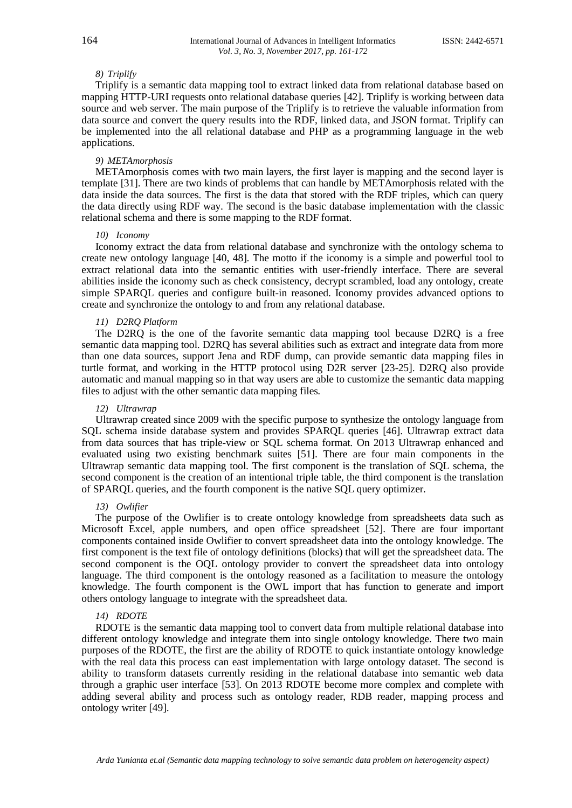#### *8) Triplify*

Triplify is a semantic data mapping tool to extract linked data from relational database based on mapping HTTP-URI requests onto relational database queries [\[42\]](#page-10-10). Triplify is working between data source and web server. The main purpose of the Triplify is to retrieve the valuable information from data source and convert the query results into the RDF, linked data, and JSON format. Triplify can be implemented into the all relational database and PHP as a programming language in the web applications.

#### *9) METAmorphosis*

METAmorphosis comes with two main layers, the first layer is mapping and the second layer is template [\[31\]](#page-10-11). There are two kinds of problems that can handle by METAmorphosis related with the data inside the data sources. The first is the data that stored with the RDF triples, which can query the data directly using RDF way. The second is the basic database implementation with the classic relational schema and there is some mapping to the RDF format.

#### *10) Iconomy*

Iconomy extract the data from relational database and synchronize with the ontology schema to create new ontology language [\[40,](#page-10-12) [48\]](#page-10-13). The motto if the iconomy is a simple and powerful tool to extract relational data into the semantic entities with user-friendly interface. There are several abilities inside the iconomy such as check consistency, decrypt scrambled, load any ontology, create simple SPARQL queries and configure built-in reasoned. Iconomy provides advanced options to create and synchronize the ontology to and from any relational database.

#### *11) D2RQ Platform*

The D2RQ is the one of the favorite semantic data mapping tool because D2RQ is a free semantic data mapping tool. D2RQ has several abilities such as extract and integrate data from more than one data sources, support Jena and RDF dump, can provide semantic data mapping files in turtle format, and working in the HTTP protocol using D2R server [\[23-25\]](#page-9-4). D2RQ also provide automatic and manual mapping so in that way users are able to customize the semantic data mapping files to adjust with the other semantic data mapping files.

### *12) Ultrawrap*

Ultrawrap created since 2009 with the specific purpose to synthesize the ontology language from SQL schema inside database system and provides SPARQL queries [\[46\]](#page-10-14). Ultrawrap extract data from data sources that has triple-view or SQL schema format. On 2013 Ultrawrap enhanced and evaluated using two existing benchmark suites [\[51\]](#page-11-0). There are four main components in the Ultrawrap semantic data mapping tool. The first component is the translation of SQL schema, the second component is the creation of an intentional triple table, the third component is the translation of SPARQL queries, and the fourth component is the native SQL query optimizer.

#### *13) Owlifier*

The purpose of the Owlifier is to create ontology knowledge from spreadsheets data such as Microsoft Excel, apple numbers, and open office spreadsheet [\[52\]](#page-11-1). There are four important components contained inside Owlifier to convert spreadsheet data into the ontology knowledge. The first component is the text file of ontology definitions (blocks) that will get the spreadsheet data. The second component is the OQL ontology provider to convert the spreadsheet data into ontology language. The third component is the ontology reasoned as a facilitation to measure the ontology knowledge. The fourth component is the OWL import that has function to generate and import others ontology language to integrate with the spreadsheet data.

#### *14) RDOTE*

RDOTE is the semantic data mapping tool to convert data from multiple relational database into different ontology knowledge and integrate them into single ontology knowledge. There two main purposes of the RDOTE, the first are the ability of RDOTE to quick instantiate ontology knowledge with the real data this process can east implementation with large ontology dataset. The second is ability to transform datasets currently residing in the relational database into semantic web data through a graphic user interface [\[53\]](#page-11-2). On 2013 RDOTE become more complex and complete with adding several ability and process such as ontology reader, RDB reader, mapping process and ontology writer [\[49\]](#page-10-15).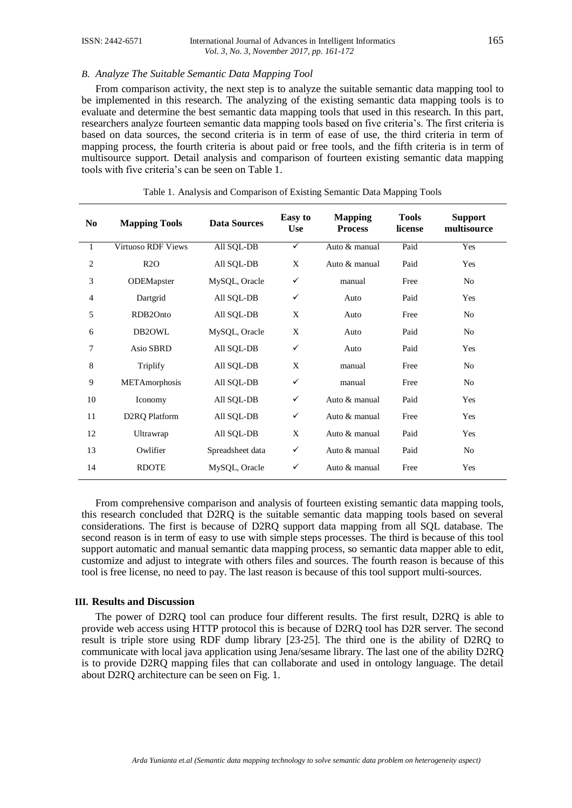# *B. Analyze The Suitable Semantic Data Mapping Tool*

From comparison activity, the next step is to analyze the suitable semantic data mapping tool to be implemented in this research. The analyzing of the existing semantic data mapping tools is to evaluate and determine the best semantic data mapping tools that used in this research. In this part, researchers analyze fourteen semantic data mapping tools based on five criteria's. The first criteria is based on data sources, the second criteria is in term of ease of use, the third criteria in term of mapping process, the fourth criteria is about paid or free tools, and the fifth criteria is in term of multisource support. Detail analysis and comparison of fourteen existing semantic data mapping tools with five criteria's can be seen on Table 1.

| N <sub>0</sub> | <b>Mapping Tools</b>       | <b>Data Sources</b> | <b>Easy</b> to<br><b>Use</b> | <b>Mapping</b><br><b>Process</b> | <b>Tools</b><br>license | <b>Support</b><br>multisource |
|----------------|----------------------------|---------------------|------------------------------|----------------------------------|-------------------------|-------------------------------|
| $\mathbf{1}$   | Virtuoso RDF Views         | All SQL-DB          | $\checkmark$                 | Auto & manual                    | Paid                    | Yes                           |
| $\overline{2}$ | R2O                        | All SQL-DB          | X                            | Auto $&$ manual                  | Paid                    | Yes                           |
| 3              | ODEMapster                 | MySQL, Oracle       | $\checkmark$                 | manual                           | Free                    | N <sub>0</sub>                |
| $\overline{4}$ | Dartgrid                   | All SQL-DB          | ✓                            | Auto                             | Paid                    | Yes                           |
| 5              | RDB2Onto                   | All SQL-DB          | X                            | Auto                             | Free                    | N <sub>0</sub>                |
| 6              | DB2OWL                     | MySQL, Oracle       | X                            | Auto                             | Paid                    | N <sub>0</sub>                |
| 7              | Asio SBRD                  | All SQL-DB          | ✓                            | Auto                             | Paid                    | Yes                           |
| 8              | Triplify                   | All SQL-DB          | X                            | manual                           | Free                    | N <sub>o</sub>                |
| 9              | METAmorphosis              | All SQL-DB          | $\checkmark$                 | manual                           | Free                    | N <sub>0</sub>                |
| 10             | <b>Iconomy</b>             | All SQL-DB          | ✓                            | Auto & manual                    | Paid                    | Yes                           |
| 11             | D <sub>2</sub> RQ Platform | All SQL-DB          | ✓                            | Auto & manual                    | Free                    | Yes                           |
| 12             | Ultrawrap                  | All SQL-DB          | X                            | Auto & manual                    | Paid                    | Yes                           |
| 13             | Owlifier                   | Spreadsheet data    | ✓                            | Auto & manual                    | Paid                    | N <sub>0</sub>                |
| 14             | <b>RDOTE</b>               | MySQL, Oracle       | ✓                            | Auto & manual                    | Free                    | Yes                           |
|                |                            |                     |                              |                                  |                         |                               |

Table 1. Analysis and Comparison of Existing Semantic Data Mapping Tools

From comprehensive comparison and analysis of fourteen existing semantic data mapping tools, this research concluded that D2RQ is the suitable semantic data mapping tools based on several considerations. The first is because of D2RQ support data mapping from all SQL database. The second reason is in term of easy to use with simple steps processes. The third is because of this tool support automatic and manual semantic data mapping process, so semantic data mapper able to edit, customize and adjust to integrate with others files and sources. The fourth reason is because of this tool is free license, no need to pay. The last reason is because of this tool support multi-sources.

# **III. Results and Discussion**

The power of D2RQ tool can produce four different results. The first result, D2RQ is able to provide web access using HTTP protocol this is because of D2RQ tool has D2R server. The second result is triple store using RDF dump library [\[23-25\]](#page-9-4). The third one is the ability of D2RQ to communicate with local java application using Jena/sesame library. The last one of the ability D2RQ is to provide D2RQ mapping files that can collaborate and used in ontology language. The detail about D2RQ architecture can be seen on Fig. 1.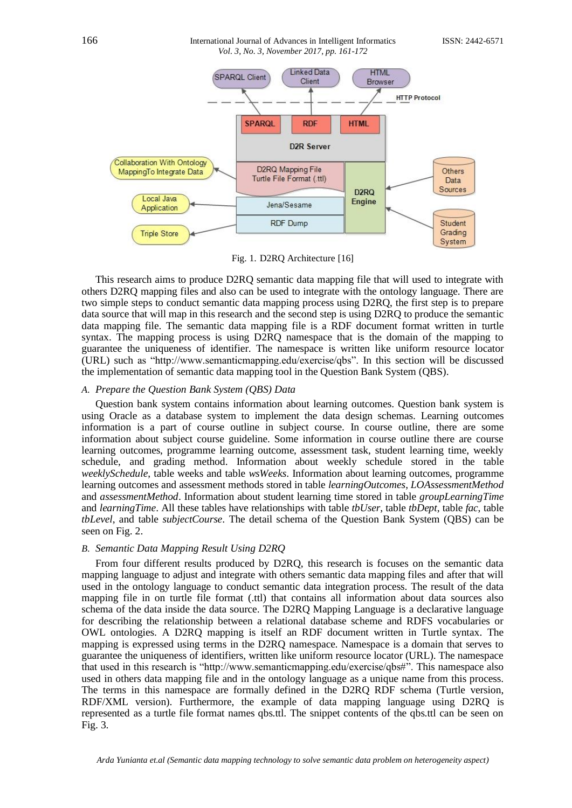# 166 International Journal of Advances in Intelligent InformaticsISSN: 2442-6571 *Vol. 3, No. 3, November 2017, pp. 161-172*



Fig. 1. D2RQ Architecture [\[16\]](#page-9-8)

This research aims to produce D2RQ semantic data mapping file that will used to integrate with others D2RQ mapping files and also can be used to integrate with the ontology language. There are two simple steps to conduct semantic data mapping process using D2RQ, the first step is to prepare data source that will map in this research and the second step is using D2RQ to produce the semantic data mapping file. The semantic data mapping file is a RDF document format written in turtle syntax. The mapping process is using D2RQ namespace that is the domain of the mapping to guarantee the uniqueness of identifier. The namespace is written like uniform resource locator (URL) such as "http://www.semanticmapping.edu/exercise/qbs". In this section will be discussed the implementation of semantic data mapping tool in the Question Bank System (QBS).

# *A. Prepare the Question Bank System (QBS) Data*

Question bank system contains information about learning outcomes. Question bank system is using Oracle as a database system to implement the data design schemas. Learning outcomes information is a part of course outline in subject course. In course outline, there are some information about subject course guideline. Some information in course outline there are course learning outcomes, programme learning outcome, assessment task, student learning time, weekly schedule, and grading method. Information about weekly schedule stored in the table *weeklySchedule*, table weeks and table *wsWeeks*. Information about learning outcomes, programme learning outcomes and assessment methods stored in table *learningOutcomes*, *LOAssessmentMethod* and *assessmentMethod*. Information about student learning time stored in table *groupLearningTime* and *learningTime*. All these tables have relationships with table *tbUser*, table *tbDept*, table *fac*, table *tbLevel*, and table *subjectCourse*. The detail schema of the Question Bank System (QBS) can be seen on Fig. 2.

# *B. Semantic Data Mapping Result Using D2RQ*

From four different results produced by D2RQ, this research is focuses on the semantic data mapping language to adjust and integrate with others semantic data mapping files and after that will used in the ontology language to conduct semantic data integration process. The result of the data mapping file in on turtle file format (.ttl) that contains all information about data sources also schema of the data inside the data source. The D2RQ Mapping Language is a declarative language for describing the relationship between a relational database scheme and RDFS vocabularies or OWL ontologies. A D2RQ mapping is itself an RDF document written in Turtle syntax. The mapping is expressed using terms in the D2RQ namespace. Namespace is a domain that serves to guarantee the uniqueness of identifiers, written like uniform resource locator (URL). The namespace that used in this research is "http://www.semanticmapping.edu/exercise/qbs#". This namespace also used in others data mapping file and in the ontology language as a unique name from this process. The terms in this namespace are formally defined in the D2RQ RDF schema (Turtle version, RDF/XML version). Furthermore, the example of data mapping language using D2RQ is represented as a turtle file format names qbs.ttl. The snippet contents of the qbs.ttl can be seen on Fig. 3.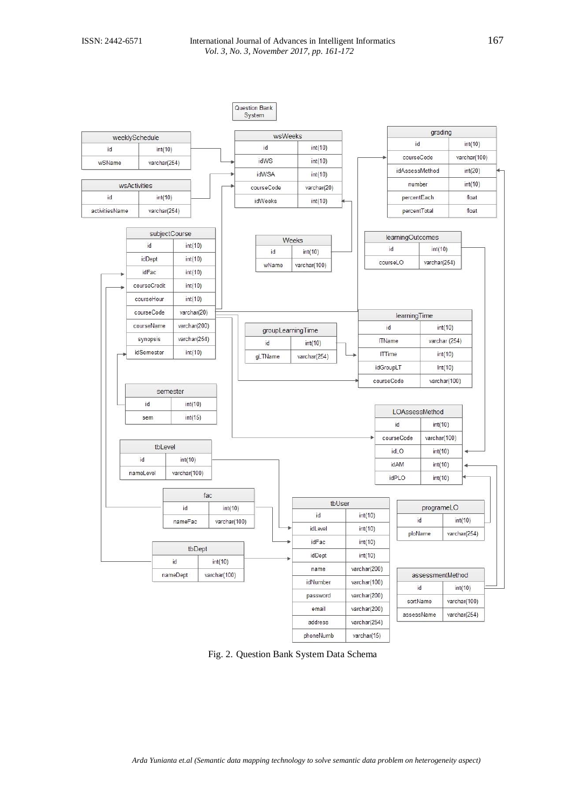

Fig. 2. Question Bank System Data Schema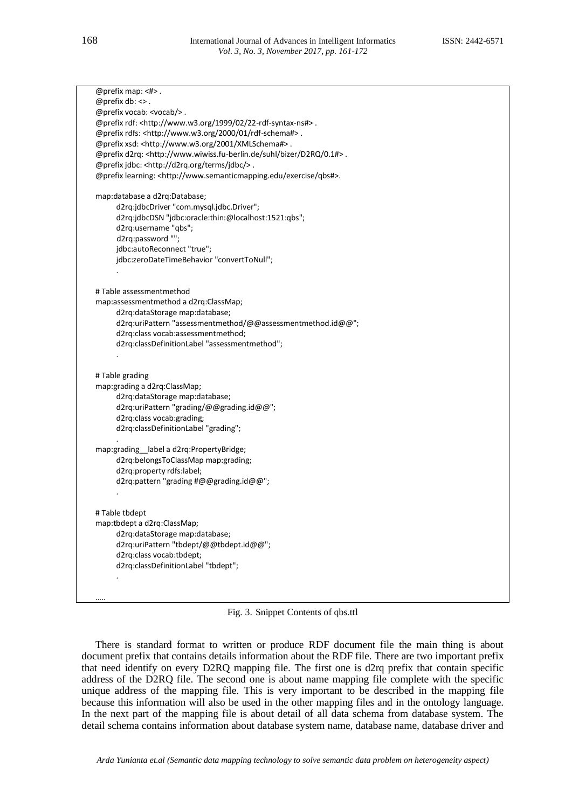@prefix map: <#> .  $@$  prefix db:  $<$  . @prefix vocab: <vocab/> . @prefix rdf: <http://www.w3.org/1999/02/22-rdf-syntax-ns#> . @prefix rdfs: <http://www.w3.org/2000/01/rdf-schema#> . @prefix xsd: <http://www.w3.org/2001/XMLSchema#> . @prefix d2rq: <http://www.wiwiss.fu-berlin.de/suhl/bizer/D2RQ/0.1#> . @prefix jdbc: <http://d2rq.org/terms/jdbc/> . @prefix learning: <http://www.semanticmapping.edu/exercise/qbs#>. map:database a d2rq:Database; d2rq:jdbcDriver "com.mysql.jdbc.Driver"; d2rq:jdbcDSN "jdbc:oracle:thin:@localhost:1521:qbs"; d2rq:username "qbs"; d2rq:password ""; jdbc:autoReconnect "true"; jdbc:zeroDateTimeBehavior "convertToNull"; . # Table assessmentmethod map:assessmentmethod a d2rq:ClassMap; d2rq:dataStorage map:database; d2rq:uriPattern "assessmentmethod/@@assessmentmethod.id@@"; d2rq:class vocab:assessmentmethod; d2rq:classDefinitionLabel "assessmentmethod"; . # Table grading map:grading a d2rq:ClassMap; d2rq:dataStorage map:database; d2rq:uriPattern "grading/@@grading.id@@"; d2rq:class vocab:grading; d2rq:classDefinitionLabel "grading"; . map:grading label a d2rq:PropertyBridge; d2rq:belongsToClassMap map:grading; d2rq:property rdfs:label; d2rq:pattern "grading #@@grading.id@@"; . # Table tbdept map:tbdept a d2rq:ClassMap; d2rq:dataStorage map:database; d2rq:uriPattern "tbdept/@@tbdept.id@@"; d2rq:class vocab:tbdept; d2rq:classDefinitionLabel "tbdept"; . …..

Fig. 3. Snippet Contents of qbs.ttl

There is standard format to written or produce RDF document file the main thing is about document prefix that contains details information about the RDF file. There are two important prefix that need identify on every D2RQ mapping file. The first one is d2rq prefix that contain specific address of the D2RQ file. The second one is about name mapping file complete with the specific unique address of the mapping file. This is very important to be described in the mapping file because this information will also be used in the other mapping files and in the ontology language. In the next part of the mapping file is about detail of all data schema from database system. The detail schema contains information about database system name, database name, database driver and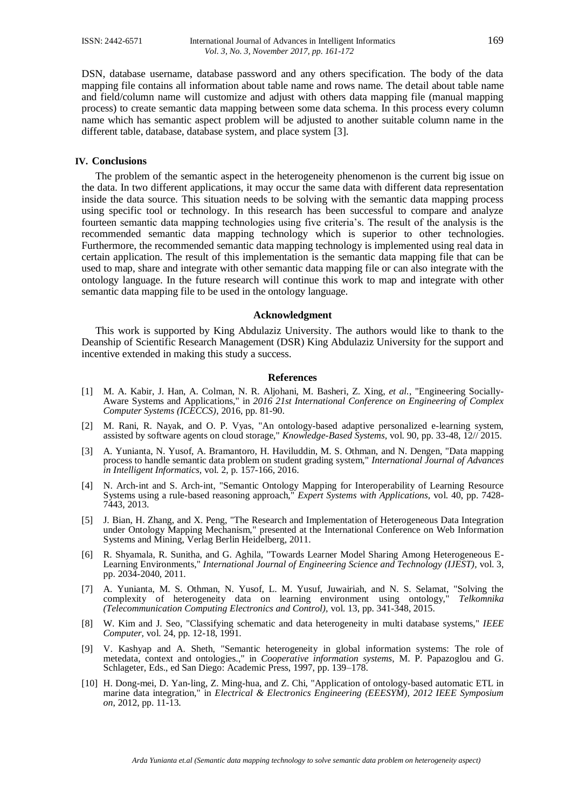DSN, database username, database password and any others specification. The body of the data mapping file contains all information about table name and rows name. The detail about table name and field/column name will customize and adjust with others data mapping file (manual mapping process) to create semantic data mapping between some data schema. In this process every column name which has semantic aspect problem will be adjusted to another suitable column name in the different table, database, database system, and place system [\[3\]](#page-8-6).

### **IV. Conclusions**

The problem of the semantic aspect in the heterogeneity phenomenon is the current big issue on the data. In two different applications, it may occur the same data with different data representation inside the data source. This situation needs to be solving with the semantic data mapping process using specific tool or technology. In this research has been successful to compare and analyze fourteen semantic data mapping technologies using five criteria's. The result of the analysis is the recommended semantic data mapping technology which is superior to other technologies. Furthermore, the recommended semantic data mapping technology is implemented using real data in certain application. The result of this implementation is the semantic data mapping file that can be used to map, share and integrate with other semantic data mapping file or can also integrate with the ontology language. In the future research will continue this work to map and integrate with other semantic data mapping file to be used in the ontology language.

#### **Acknowledgment**

This work is supported by King Abdulaziz University. The authors would like to thank to the Deanship of Scientific Research Management (DSR) King Abdulaziz University for the support and incentive extended in making this study a success.

### **References**

- <span id="page-8-0"></span>[1] M. A. Kabir, J. Han, A. Colman, N. R. Aljohani, M. Basheri, Z. Xing*, et al.*, "Engineering Socially-Aware Systems and Applications," in *2016 21st International Conference on Engineering of Complex Computer Systems (ICECCS)*, 2016, pp. 81-90.
- [2] M. Rani, R. Nayak, and O. P. Vyas, "An ontology-based adaptive personalized e-learning system, assisted by software agents on cloud storage," *Knowledge-Based Systems,* vol. 90, pp. 33-48, 12// 2015.
- <span id="page-8-6"></span>[3] A. Yunianta, N. Yusof, A. Bramantoro, H. Haviluddin, M. S. Othman, and N. Dengen, "Data mapping process to handle semantic data problem on student grading system," *International Journal of Advances in Intelligent Informatics,* vol. 2, p. 157-166, 2016.
- [4] N. Arch-int and S. Arch-int, "Semantic Ontology Mapping for Interoperability of Learning Resource Systems using a rule-based reasoning approach," *Expert Systems with Applications,* vol. 40, pp. 7428- 7443, 2013.
- <span id="page-8-2"></span>[5] J. Bian, H. Zhang, and X. Peng, "The Research and Implementation of Heterogeneous Data Integration under Ontology Mapping Mechanism," presented at the International Conference on Web Information Systems and Mining, Verlag Berlin Heidelberg, 2011.
- <span id="page-8-1"></span>[6] R. Shyamala, R. Sunitha, and G. Aghila, "Towards Learner Model Sharing Among Heterogeneous E-Learning Environments," *International Journal of Engineering Science and Technology (IJEST),* vol. 3, pp. 2034-2040, 2011.
- <span id="page-8-3"></span>[7] A. Yunianta, M. S. Othman, N. Yusof, L. M. Yusuf, Juwairiah, and N. S. Selamat, "Solving the complexity of heterogeneity data on learning environment using ontology," *Telkomnika (Telecommunication Computing Electronics and Control),* vol. 13, pp. 341-348, 2015.
- <span id="page-8-4"></span>[8] W. Kim and J. Seo, "Classifying schematic and data heterogeneity in multi database systems," *IEEE Computer,* vol. 24, pp. 12-18, 1991.
- <span id="page-8-5"></span>[9] V. Kashyap and A. Sheth, "Semantic heterogeneity in global information systems: The role of metedata, context and ontologies.," in *Cooperative information systems*, M. P. Papazoglou and G. Schlageter, Eds., ed San Diego: Academic Press, 1997, pp. 139–178.
- <span id="page-8-7"></span>[10] H. Dong-mei, D. Yan-ling, Z. Ming-hua, and Z. Chi, "Application of ontology-based automatic ETL in marine data integration," in *Electrical & Electronics Engineering (EEESYM), 2012 IEEE Symposium on*, 2012, pp. 11-13.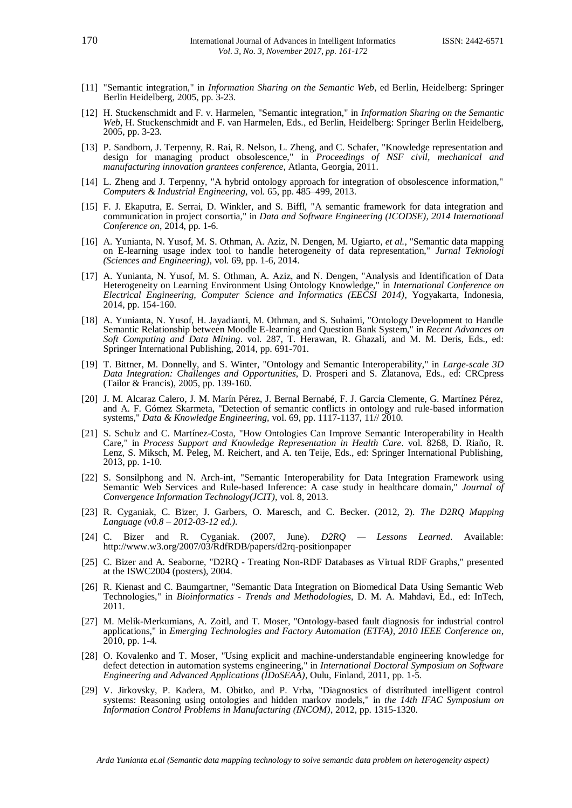- [11] "Semantic integration," in *Information Sharing on the Semantic Web*, ed Berlin, Heidelberg: Springer Berlin Heidelberg, 2005, pp. 3-23.
- [12] H. Stuckenschmidt and F. v. Harmelen, "Semantic integration," in *Information Sharing on the Semantic Web*, H. Stuckenschmidt and F. van Harmelen, Eds., ed Berlin, Heidelberg: Springer Berlin Heidelberg, 2005, pp. 3-23.
- <span id="page-9-0"></span>[13] P. Sandborn, J. Terpenny, R. Rai, R. Nelson, L. Zheng, and C. Schafer, "Knowledge representation and design for managing product obsolescence," in *Proceedings of NSF civil, mechanical and manufacturing innovation grantees conference*, Atlanta, Georgia, 2011.
- <span id="page-9-1"></span>[14] L. Zheng and J. Terpenny, "A hybrid ontology approach for integration of obsolescence information," *Computers & Industrial Engineering,* vol. 65, pp. 485–499, 2013.
- <span id="page-9-2"></span>[15] F. J. Ekaputra, E. Serrai, D. Winkler, and S. Biffl, "A semantic framework for data integration and communication in project consortia," in *Data and Software Engineering (ICODSE), 2014 International Conference on*, 2014, pp. 1-6.
- <span id="page-9-8"></span>[16] A. Yunianta, N. Yusof, M. S. Othman, A. Aziz, N. Dengen, M. Ugiarto*, et al.*, "Semantic data mapping on E-learning usage index tool to handle heterogeneity of data representation," *Jurnal Teknologi (Sciences and Engineering),* vol. 69, pp. 1-6, 2014.
- [17] A. Yunianta, N. Yusof, M. S. Othman, A. Aziz, and N. Dengen, "Analysis and Identification of Data Heterogeneity on Learning Environment Using Ontology Knowledge," in *International Conference on Electrical Engineering, Computer Science and Informatics (EECSI 2014)*, Yogyakarta, Indonesia, 2014, pp. 154-160.
- [18] A. Yunianta, N. Yusof, H. Jayadianti, M. Othman, and S. Suhaimi, "Ontology Development to Handle Semantic Relationship between Moodle E-learning and Question Bank System," in *Recent Advances on Soft Computing and Data Mining*. vol. 287, T. Herawan, R. Ghazali, and M. M. Deris, Eds., ed: Springer International Publishing, 2014, pp. 691-701.
- <span id="page-9-3"></span>[19] T. Bittner, M. Donnelly, and S. Winter, "Ontology and Semantic Interoperability," in *Large-scale 3D Data Integration: Challenges and Opportunities*, D. Prosperi and S. Zlatanova, Eds., ed: CRCpress (Tailor & Francis), 2005, pp. 139-160.
- [20] J. M. Alcaraz Calero, J. M. Marín Pérez, J. Bernal Bernabé, F. J. Garcia Clemente, G. Martínez Pérez, and A. F. Gómez Skarmeta, "Detection of semantic conflicts in ontology and rule-based information systems," *Data & Knowledge Engineering,* vol. 69, pp. 1117-1137, 11// 2010.
- [21] S. Schulz and C. Martínez-Costa, "How Ontologies Can Improve Semantic Interoperability in Health Care," in *Process Support and Knowledge Representation in Health Care*. vol. 8268, D. Riaño, R. Lenz, S. Miksch, M. Peleg, M. Reichert, and A. ten Teije, Eds., ed: Springer International Publishing, 2013, pp. 1-10.
- [22] S. Sonsilphong and N. Arch-int, "Semantic Interoperability for Data Integration Framework using Semantic Web Services and Rule-based Inference: A case study in healthcare domain," *Journal of Convergence Information Technology(JCIT),* vol. 8, 2013.
- <span id="page-9-4"></span>[23] R. Cyganiak, C. Bizer, J. Garbers, O. Maresch, and C. Becker. (2012, 2). *The D2RQ Mapping Language (v0.8 – 2012-03-12 ed.)*.
- <span id="page-9-7"></span>[24] C. Bizer and R. Cyganiak. (2007, June). *D2RQ — Lessons Learned*. Available: http://www.w3.org/2007/03/RdfRDB/papers/d2rq-positionpaper
- [25] C. Bizer and A. Seaborne, "D2RQ Treating Non-RDF Databases as Virtual RDF Graphs," presented at the ISWC2004 (posters), 2004.
- <span id="page-9-5"></span>[26] R. Kienast and C. Baumgartner, "Semantic Data Integration on Biomedical Data Using Semantic Web Technologies," in *Bioinformatics - Trends and Methodologies*, D. M. A. Mahdavi, Ed., ed: InTech, 2011.
- <span id="page-9-6"></span>[27] M. Melik-Merkumians, A. Zoitl, and T. Moser, "Ontology-based fault diagnosis for industrial control applications," in *Emerging Technologies and Factory Automation (ETFA), 2010 IEEE Conference on*, 2010, pp. 1-4.
- [28] O. Kovalenko and T. Moser, "Using explicit and machine-understandable engineering knowledge for defect detection in automation systems engineering," in *International Doctoral Symposium on Software Engineering and Advanced Applications (IDoSEAA)*, Oulu, Finland, 2011, pp. 1-5.
- [29] V. Jirkovsky, P. Kadera, M. Obitko, and P. Vrba, "Diagnostics of distributed intelligent control systems: Reasoning using ontologies and hidden markov models," in *the 14th IFAC Symposium on Information Control Problems in Manufacturing (INCOM)*, 2012, pp. 1315-1320.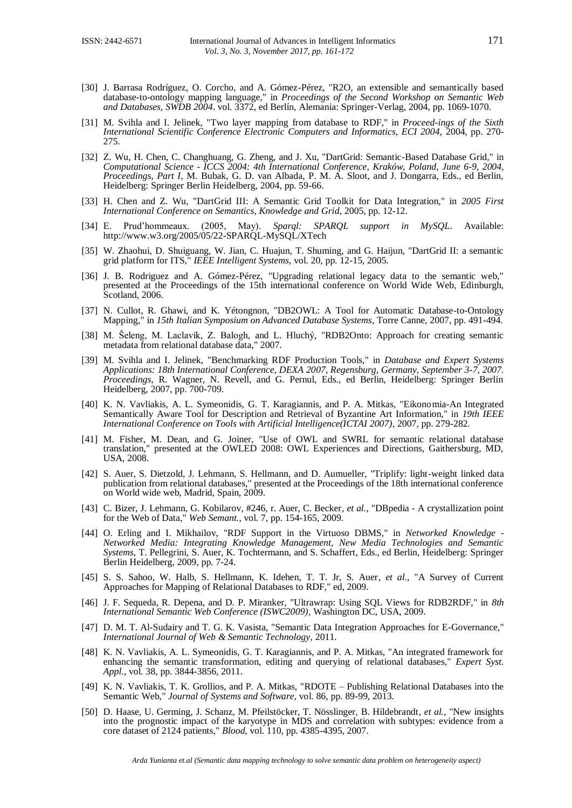- <span id="page-10-0"></span>[30] J. Barrasa Rodríguez, O. Corcho, and A. Gómez-Pérez, "R2O, an extensible and semantically based database-to-ontology mapping language," in *Proceedings of the Second Workshop on Semantic Web and Databases, SWDB 2004*. vol. 3372, ed Berlín, Alemania: Springer-Verlag, 2004, pp. 1069-1070.
- <span id="page-10-11"></span>[31] M. Svihla and I. Jelinek, "Two layer mapping from database to RDF," in *Proceed-ings of the Sixth International Scientific Conference Electronic Computers and Informatics, ECI 2004*, 2004, pp. 270- 275.
- <span id="page-10-4"></span>[32] Z. Wu, H. Chen, C. Changhuang, G. Zheng, and J. Xu, "DartGrid: Semantic-Based Database Grid," in *Computational Science - ICCS 2004: 4th International Conference, Kraków, Poland, June 6-9, 2004, Proceedings, Part I*, M. Bubak, G. D. van Albada, P. M. A. Sloot, and J. Dongarra, Eds., ed Berlin, Heidelberg: Springer Berlin Heidelberg, 2004, pp. 59-66.
- <span id="page-10-5"></span>[33] H. Chen and Z. Wu, "DartGrid III: A Semantic Grid Toolkit for Data Integration," in *2005 First International Conference on Semantics, Knowledge and Grid*, 2005, pp. 12-12.
- [34] E. Prud'hommeaux. (2005, May). *Sparql: SPARQL support in MySQL*. Available: http://www.w3.org/2005/05/22-SPARQL-MySQL/XTech
- <span id="page-10-6"></span>[35] W. Zhaohui, D. Shuiguang, W. Jian, C. Huajun, T. Shuming, and G. Haijun, "DartGrid II: a semantic grid platform for ITS," *IEEE Intelligent Systems,* vol. 20, pp. 12-15, 2005.
- <span id="page-10-2"></span>[36] J. B. Rodriguez and A. Gómez-Pérez, "Upgrading relational legacy data to the semantic web," presented at the Proceedings of the 15th international conference on World Wide Web, Edinburgh, Scotland, 2006.
- <span id="page-10-8"></span>[37] N. Cullot, R. Ghawi, and K. Yétongnon, "DB2OWL: A Tool for Automatic Database-to-Ontology Mapping," in *15th Italian Symposium on Advanced Database Systems*, Torre Canne, 2007, pp. 491-494.
- <span id="page-10-7"></span>[38] M. Šeleng, M. Laclavík, Z. Balogh, and L. Hluchý, "RDB2Onto: Approach for creating semantic metadata from relational database data," 2007.
- [39] M. Svihla and I. Jelinek, "Benchmarking RDF Production Tools," in *Database and Expert Systems Applications: 18th International Conference, DEXA 2007, Regensburg, Germany, September 3-7, 2007. Proceedings*, R. Wagner, N. Revell, and G. Pernul, Eds., ed Berlin, Heidelberg: Springer Berlin Heidelberg, 2007, pp. 700-709.
- <span id="page-10-12"></span>[40] K. N. Vavliakis, A. L. Symeonidis, G. T. Karagiannis, and P. A. Mitkas, "Eikonomia-An Integrated Semantically Aware Tool for Description and Retrieval of Byzantine Art Information," in *19th IEEE International Conference on Tools with Artificial Intelligence(ICTAI 2007)*, 2007, pp. 279-282.
- <span id="page-10-9"></span>[41] M. Fisher, M. Dean, and G. Joiner, "Use of OWL and SWRL for semantic relational database translation," presented at the OWLED 2008: OWL Experiences and Directions, Gaithersburg, MD, USA, 2008.
- <span id="page-10-10"></span>[42] S. Auer, S. Dietzold, J. Lehmann, S. Hellmann, and D. Aumueller, "Triplify: light-weight linked data publication from relational databases," presented at the Proceedings of the 18th international conference on World wide web, Madrid, Spain, 2009.
- [43] C. Bizer, J. Lehmann, G. Kobilarov, #246, r. Auer, C. Becker*, et al.*, "DBpedia A crystallization point for the Web of Data," *Web Semant.,* vol. 7, pp. 154-165, 2009.
- <span id="page-10-1"></span>[44] O. Erling and I. Mikhailov, "RDF Support in the Virtuoso DBMS," in *Networked Knowledge - Networked Media: Integrating Knowledge Management, New Media Technologies and Semantic Systems*, T. Pellegrini, S. Auer, K. Tochtermann, and S. Schaffert, Eds., ed Berlin, Heidelberg: Springer Berlin Heidelberg, 2009, pp. 7-24.
- [45] S. S. Sahoo, W. Halb, S. Hellmann, K. Idehen, T. T. Jr, S. Auer*, et al.*, "A Survey of Current Approaches for Mapping of Relational Databases to RDF," ed, 2009.
- <span id="page-10-14"></span>[46] J. F. Sequeda, R. Depena, and D. P. Miranker, "Ultrawrap: Using SQL Views for RDB2RDF," in *8th International Semantic Web Conference (ISWC2009)*, Washington DC, USA, 2009.
- [47] D. M. T. Al-Sudairy and T. G. K. Vasista, "Semantic Data Integration Approaches for E-Governance," *International Journal of Web & Semantic Technology,* 2011.
- <span id="page-10-13"></span>[48] K. N. Vavliakis, A. L. Symeonidis, G. T. Karagiannis, and P. A. Mitkas, "An integrated framework for enhancing the semantic transformation, editing and querying of relational databases," *Expert Syst. Appl.,* vol. 38, pp. 3844-3856, 2011.
- <span id="page-10-15"></span>[49] K. N. Vavliakis, T. K. Grollios, and P. A. Mitkas, "RDOTE – Publishing Relational Databases into the Semantic Web," *Journal of Systems and Software,* vol. 86, pp. 89-99, 2013.
- <span id="page-10-3"></span>[50] D. Haase, U. Germing, J. Schanz, M. Pfeilstöcker, T. Nösslinger, B. Hildebrandt*, et al.*, "New insights into the prognostic impact of the karyotype in MDS and correlation with subtypes: evidence from a core dataset of 2124 patients," *Blood,* vol. 110, pp. 4385-4395, 2007.